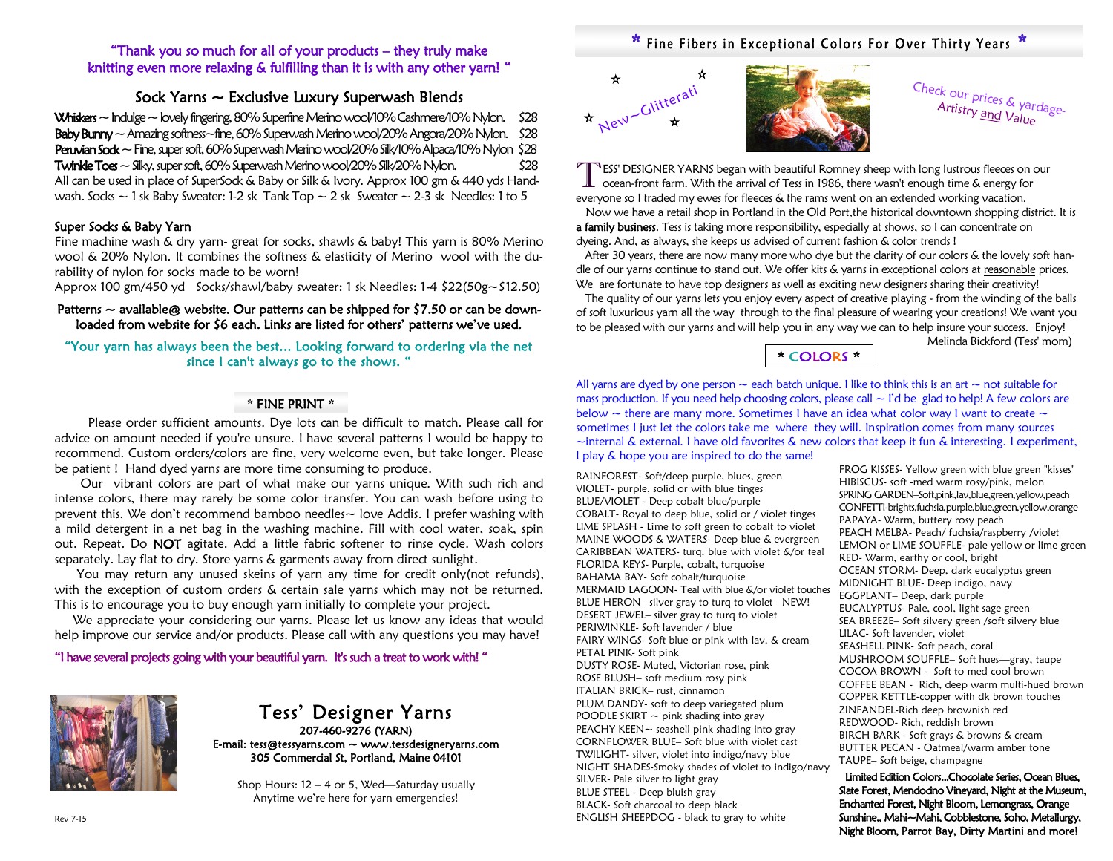# "Thank you so much for all of your products – they truly make knitting even more relaxing & fulfilling than it is with any other yarn! "

# Sock Yarns  $\sim$  Exclusive Luxury Superwash Blends

Whiskers ~ Indulge ~ lovely fingering, 80% Superfine Merino wool/10% Cashmere/10% Nylon. \$28 Baby Bunny ~ Amazing softness~fine, 60% Superwash Merino wool/20% Angora/20% Nylon. \$28 Peruvian Sock ~ Fine, super soft, 60% Superwash Merino wool/20% Silk/10% Alpaca/10% Nylon \$28 **Twinkle Toes**  $\sim$  Silky, super soft, 60% Superwash Merino wool/20% Silk/20% Nylon.  $\frac{528}{100}$ All can be used in place of SuperSock & Baby or Silk & Ivory. Approx 100 gm & 440 yds Handwash. Socks  $\sim$  1 sk Baby Sweater: 1-2 sk Tank Top  $\sim$  2 sk Sweater  $\sim$  2-3 sk Needles: 1 to 5

#### Super Socks & Baby Yarn

Fine machine wash & dry yarn- great for socks, shawls & baby! This yarn is 80% Merino wool & 20% Nylon. It combines the softness & elasticity of Merino wool with the durability of nylon for socks made to be worn!

Approx 100 gm/450 yd Socks/shawl/baby sweater: 1 sk Needles: 1-4 \$22(50g~\$12.50)

#### Patterns  $\sim$  available@ website. Our patterns can be shipped for \$7.50 or can be downloaded from website for \$6 each. Links are listed for others' patterns we've used.

#### "Your yarn has always been the best... Looking forward to ordering via the net since I can't always go to the shows. "

#### \* FINE PRINT \*

 Please order sufficient amounts. Dye lots can be difficult to match. Please call for advice on amount needed if you're unsure. I have several patterns I would be happy to recommend. Custom orders/colors are fine, very welcome even, but take longer. Please be patient ! Hand dyed yarns are more time consuming to produce.

 Our vibrant colors are part of what make our yarns unique. With such rich and intense colors, there may rarely be some color transfer. You can wash before using to prevent this. We don't recommend bamboo needles~ love Addis. I prefer washing with a mild detergent in a net bag in the washing machine. Fill with cool water, soak, spin out. Repeat. Do NOT agitate. Add a little fabric softener to rinse cycle. Wash colors separately. Lay flat to dry. Store yarns & garments away from direct sunlight.

You may return any unused skeins of yarn any time for credit only(not refunds), with the exception of custom orders & certain sale yarns which may not be returned. This is to encourage you to buy enough yarn initially to complete your project.

 We appreciate your considering our yarns. Please let us know any ideas that would help improve our service and/or products. Please call with any questions you may have!

#### "I have several projects going with your beautiful yarn. It's such a treat to work with! "



# Tess' Designer Yarns 207-460-9276 (YARN) E-mail: tess@tessyarns.com ~ www.tessdesigneryarns.com

305 Commercial St, Portland, Maine 04101

Shop Hours: 12 – 4 or 5, Wed—Saturday usually Anytime we're here for yarn emergencies!

# \* Fine Fibers in Exceptional Colors For Over Thirty Years \*





Check our prices & yardage-<br>Artistry <u>and</u> Value

TESS' DESIGNER YARNS began with beautiful Romney sheep with long lustrous fleeces on our ocean-front farm. With the arrival of Tess in 1986, there wasn't enough time & energy for ocean-front farm. With the arrival of Tess in 1986, there wasn't enough time & energy for everyone so I traded my ewes for fleeces & the rams went on an extended working vacation.

 Now we have a retail shop in Portland in the Old Port,the historical downtown shopping district. It is a family business. Tess is taking more responsibility, especially at shows, so I can concentrate on dyeing. And, as always, she keeps us advised of current fashion & color trends !

 After 30 years, there are now many more who dye but the clarity of our colors & the lovely soft handle of our yarns continue to stand out. We offer kits & yarns in exceptional colors at reasonable prices. We are fortunate to have top designers as well as exciting new designers sharing their creativity!

 The quality of our yarns lets you enjoy every aspect of creative playing - from the winding of the balls of soft luxurious yarn all the way through to the final pleasure of wearing your creations! We want you to be pleased with our yarns and will help you in any way we can to help insure your success. Enjoy! Melinda Bickford (Tess' mom)

# \* COLORS \*

All yarns are dyed by one person  $\sim$  each batch unique. I like to think this is an art  $\sim$  not suitable for mass production. If you need help choosing colors, please call  $\sim$  I'd be glad to help! A few colors are below  $\sim$  there are many more. Sometimes I have an idea what color way I want to create  $\sim$ sometimes I just let the colors take me where they will. Inspiration comes from many sources  $\sim$ internal & external. I have old favorites & new colors that keep it fun & interesting. I experiment, I play & hope you are inspired to do the same!

RAINFOREST- Soft/deep purple, blues, green VIOLET- purple, solid or with blue tinges BLUE/VIOLET - Deep cobalt blue/purple COBALT- Royal to deep blue, solid or / violet tinges LIME SPLASH - Lime to soft green to cobalt to violet MAINE WOODS & WATERS- Deep blue & evergreen CARIBBEAN WATERS- turq. blue with violet &/or teal FLORIDA KEYS- Purple, cobalt, turquoise BAHAMA BAY- Soft cobalt/turquoise MERMAID LAGOON- Teal with blue &/or violet touches BLUE HERON- silver gray to turq to violet NEW! DESERT JEWEL– silver gray to turq to violet PERIWINKLE- Soft lavender / blue FAIRY WINGS- Soft blue or pink with lav. & cream PETAL PINK- Soft pink DUSTY ROSE- Muted, Victorian rose, pink ROSE BLUSH– soft medium rosy pink ITALIAN BRICK– rust, cinnamon PLUM DANDY- soft to deep variegated plum POODLE SKIRT  $\sim$  pink shading into gray PEACHY KEEN~ seashell pink shading into gray CORNFLOWER BLUE– Soft blue with violet cast TWILIGHT- silver, violet into indigo/navy blue NIGHT SHADES-Smoky shades of violet to indigo/navy SILVER- Pale silver to light gray BLUE STEEL - Deep bluish gray BLACK- Soft charcoal to deep black ENGLISH SHEEPDOG - black to gray to white

FROG KISSES- Yellow green with blue green "kisses" HIBISCUS- soft -med warm rosy/pink, melon SPRING GARDEN–Soft,pink,lav,blue,green,yellow,peach CONFETTI-brights,fuchsia,purple,blue,green,yellow,orange PAPAYA- Warm, buttery rosy peach PEACH MELBA- Peach/ fuchsia/raspberry /violet LEMON or LIME SOUFFLE- pale yellow or lime green RED- Warm, earthy or cool, bright OCEAN STORM- Deep, dark eucalyptus green MIDNIGHT BLUE- Deep indigo, navy EGGPLANT– Deep, dark purple EUCALYPTUS- Pale, cool, light sage green SEA BREEZE– Soft silvery green /soft silvery blue LILAC- Soft lavender, violet SEASHELL PINK- Soft peach, coral MUSHROOM SOUFFLE– Soft hues—gray, taupe COCOA BROWN - Soft to med cool brown COFFEE BEAN - Rich, deep warm multi-hued brown COPPER KETTLE-copper with dk brown touches ZINFANDEL-Rich deep brownish red REDWOOD- Rich, reddish brown BIRCH BARK - Soft grays & browns & cream BUTTER PECAN - Oatmeal/warm amber tone TAUPE– Soft beige, champagne

 Limited Edition Colors...Chocolate Series, Ocean Blues, Slate Forest, Mendocino Vineyard, Night at the Museum, Enchanted Forest, Night Bloom, Lemongrass, Orange Sunshine,, Mahi~Mahi, Cobblestone, Soho, Metallurgy, Night Bloom, Parrot Bay, Dirty Martini and more!